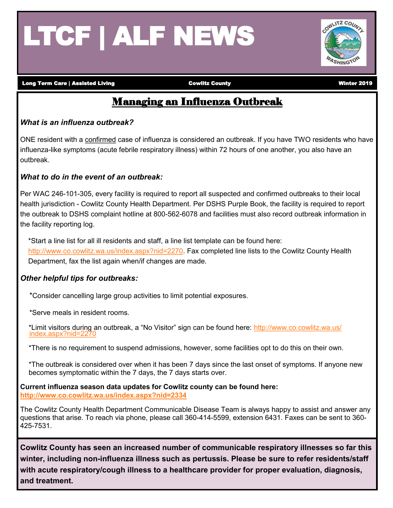# LTCF | ALF NEWS



Long Term Care | Assisted Living **Cowlitz County** County County County Winter 2019

### Managing an Influenza Outbreak

#### *What is an influenza outbreak?*

ONE resident with a confirmed case of influenza is considered an outbreak. If you have TWO residents who have influenza-like symptoms (acute febrile respiratory illness) within 72 hours of one another, you also have an outbreak.

#### *What to do in the event of an outbreak:*

Per WAC 246-101-305, every facility is required to report all suspected and confirmed outbreaks to their local health jurisdiction - Cowlitz County Health Department. Per DSHS Purple Book, the facility is required to report the outbreak to DSHS complaint hotline at 800-562-6078 and facilities must also record outbreak information in the facility reporting log.

\*Start a line list for all ill residents and staff, a line list template can be found here: [http://www.co.cowlitz.wa.us/index.aspx?nid=2270.](http://www.co.cowlitz.wa.us/index.aspx?nid=2270) Fax completed line lists to the Cowlitz County Health Department, fax the list again when/if changes are made.

#### *Other helpful tips for outbreaks:*

\*Consider cancelling large group activities to limit potential exposures.

\*Serve meals in resident rooms.

\*Limit visitors during an outbreak, a "No Visitor" sign can be found here: [http://www.co.cowlitz.wa.us/](http://www.co.cowlitz.wa.us/%09index.aspx?nid=2270) [index.aspx?nid=2270](http://www.co.cowlitz.wa.us/%09index.aspx?nid=2270)

\*There is no requirement to suspend admissions, however, some facilities opt to do this on their own.

\*The outbreak is considered over when it has been 7 days since the last onset of symptoms. If anyone new becomes symptomatic within the 7 days, the 7 days starts over.

**Current influenza season data updates for Cowlitz county can be found here: <http://www.co.cowlitz.wa.us/index.aspx?nid=2334>**

The Cowlitz County Health Department Communicable Disease Team is always happy to assist and answer any questions that arise. To reach via phone, please call 360-414-5599, extension 6431. Faxes can be sent to 360- 425-7531.

**Cowlitz County has seen an increased number of communicable respiratory illnesses so far this winter, including non-influenza illness such as pertussis. Please be sure to refer residents/staff with acute respiratory/cough illness to a healthcare provider for proper evaluation, diagnosis, and treatment.**